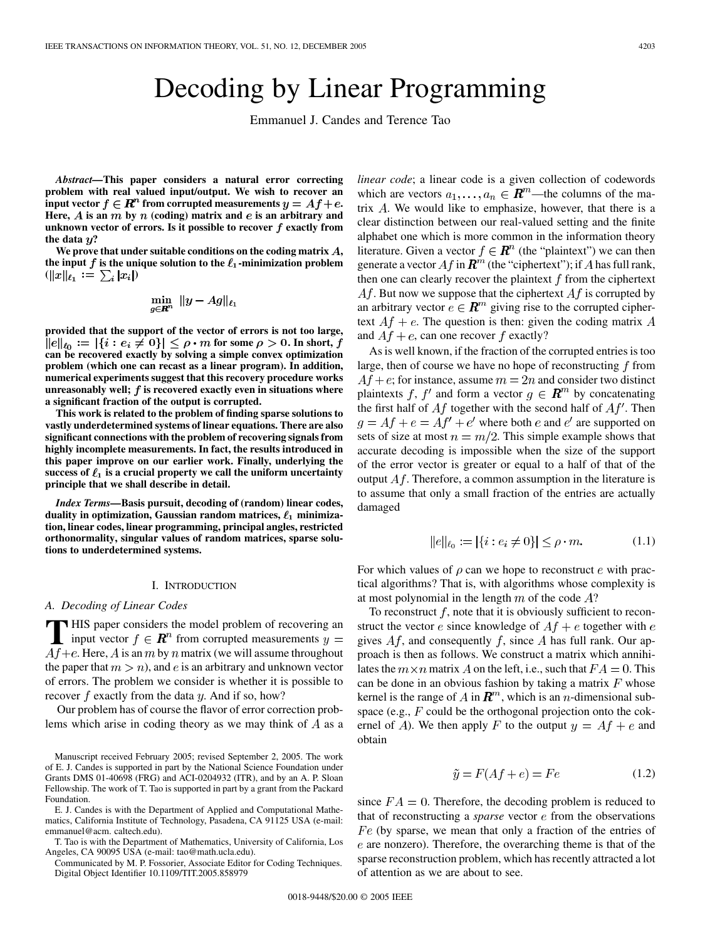# Decoding by Linear Programming

Emmanuel J. Candes and Terence Tao

*Abstract—***This paper considers a natural error correcting problem with real valued input/output. We wish to recover an input vector**  $f \in \mathbb{R}^n$  from corrupted measurements  $y = Af + e$ . Here,  $\vec{A}$  is an  $m$  by  $n$  (coding) matrix and  $e$  is an arbitrary and **unknown vector of errors. Is it possible to recover**  $f$  **exactly from** the data  $y$ ?

We prove that under suitable conditions on the coding matrix A, the input  $f$  is the unique solution to the  $\ell_1$ -minimization problem  $(||x||_{\ell_1} := \sum_i |x_i|)$ 

$$
\min_{g\in\mathbf{R}^n}~\|y-Ag\|_{\ell_1}
$$

**provided that the support of the vector of errors is not too large,**  $\{i: e_i \neq 0\}|\leq \rho\cdot m$  for some  $\rho>0.$  In short, **can be recovered exactly by solving a simple convex optimization problem (which one can recast as a linear program). In addition, numerical experiments suggest that this recovery procedure works unreasonably well; is recovered exactly even in situations where a significant fraction of the output is corrupted.**

**This work is related to the problem of finding sparse solutions to vastly underdetermined systems of linear equations. There are also significant connections with the problem of recovering signals from highly incomplete measurements. In fact, the results introduced in this paper improve on our earlier work. Finally, underlying the** success of  $\ell_1$  is a crucial property we call the uniform uncertainty **principle that we shall describe in detail.**

*Index Terms—***Basis pursuit, decoding of (random) linear codes,** duality in optimization, Gaussian random matrices,  $\ell_1$  minimiza**tion, linear codes, linear programming, principal angles, restricted orthonormality, singular values of random matrices, sparse solutions to underdetermined systems.**

## I. INTRODUCTION

#### *A. Decoding of Linear Codes*

**T** HIS paper considers the model problem of recovering an input vector  $f \in \mathbb{R}^n$  from corrupted measurements  $y = A f$  is all the matrix (we will essuit the vector)  $A f + e$ . Here, A is an m by n matrix (we will assume throughout the paper that  $m > n$ , and e is an arbitrary and unknown vector of errors. The problem we consider is whether it is possible to recover  $f$  exactly from the data  $y$ . And if so, how?

Our problem has of course the flavor of error correction problems which arise in coding theory as we may think of  $A$  as a

E. J. Candes is with the Department of Applied and Computational Mathematics, California Institute of Technology, Pasadena, CA 91125 USA (e-mail: emmanuel@acm. caltech.edu).

T. Tao is with the Department of Mathematics, University of California, Los Angeles, CA 90095 USA (e-mail: tao@math.ucla.edu).

Communicated by M. P. Fossorier, Associate Editor for Coding Techniques. Digital Object Identifier 10.1109/TIT.2005.858979

*linear code*; a linear code is a given collection of codewords which are vectors  $a_1, \ldots, a_n \in \mathbb{R}^m$ —the columns of the matrix  $A$ . We would like to emphasize, however, that there is a clear distinction between our real-valued setting and the finite alphabet one which is more common in the information theory literature. Given a vector  $f \in \mathbb{R}^n$  (the "plaintext") we can then generate a vector  $Af$  in  $\mathbb{R}^m$  (the "ciphertext"); if A has full rank, then one can clearly recover the plaintext  $f$  from the ciphertext  $Af$ . But now we suppose that the ciphertext  $Af$  is corrupted by an arbitrary vector  $e \in \mathbb{R}^m$  giving rise to the corrupted ciphertext  $Af + e$ . The question is then: given the coding matrix A and  $Af + e$ , can one recover f exactly?

As is well known, if the fraction of the corrupted entries is too large, then of course we have no hope of reconstructing  $f$  from  $Af + e$ ; for instance, assume  $m = 2n$  and consider two distinct plaintexts f, f' and form a vector  $g \in \mathbb{R}^m$  by concatenating the first half of  $Af$  together with the second half of  $Af'$ . Then  $g = Af + e = Af' + e'$  where both e and e' are supported on sets of size at most  $n = m/2$ . This simple example shows that accurate decoding is impossible when the size of the support of the error vector is greater or equal to a half of that of the output  $Af$ . Therefore, a common assumption in the literature is to assume that only a small fraction of the entries are actually damaged

$$
||e||_{\ell_0} := |\{i : e_i \neq 0\}| \le \rho \cdot m. \tag{1.1}
$$

For which values of  $\rho$  can we hope to reconstruct e with practical algorithms? That is, with algorithms whose complexity is at most polynomial in the length  $m$  of the code  $A$ ?

To reconstruct  $f$ , note that it is obviously sufficient to reconstruct the vector e since knowledge of  $Af + e$  together with e gives  $Af$ , and consequently f, since A has full rank. Our approach is then as follows. We construct a matrix which annihilates the  $m \times n$  matrix A on the left, i.e., such that  $FA = 0$ . This can be done in an obvious fashion by taking a matrix  $F$  whose kernel is the range of A in  $\mathbb{R}^m$ , which is an *n*-dimensional subspace (e.g.,  $F$  could be the orthogonal projection onto the cokernel of A). We then apply F to the output  $y = Af + e$  and obtain

$$
\tilde{y} = F(Af + e) = Fe \tag{1.2}
$$

since  $FA = 0$ . Therefore, the decoding problem is reduced to that of reconstructing a *sparse* vector  $e$  from the observations  $Fe$  (by sparse, we mean that only a fraction of the entries of  $e$  are nonzero). Therefore, the overarching theme is that of the sparse reconstruction problem, which has recently attracted a lot of attention as we are about to see.

Manuscript received February 2005; revised September 2, 2005. The work of E. J. Candes is supported in part by the National Science Foundation under Grants DMS 01-40698 (FRG) and ACI-0204932 (ITR), and by an A. P. Sloan Fellowship. The work of T. Tao is supported in part by a grant from the Packard Foundation.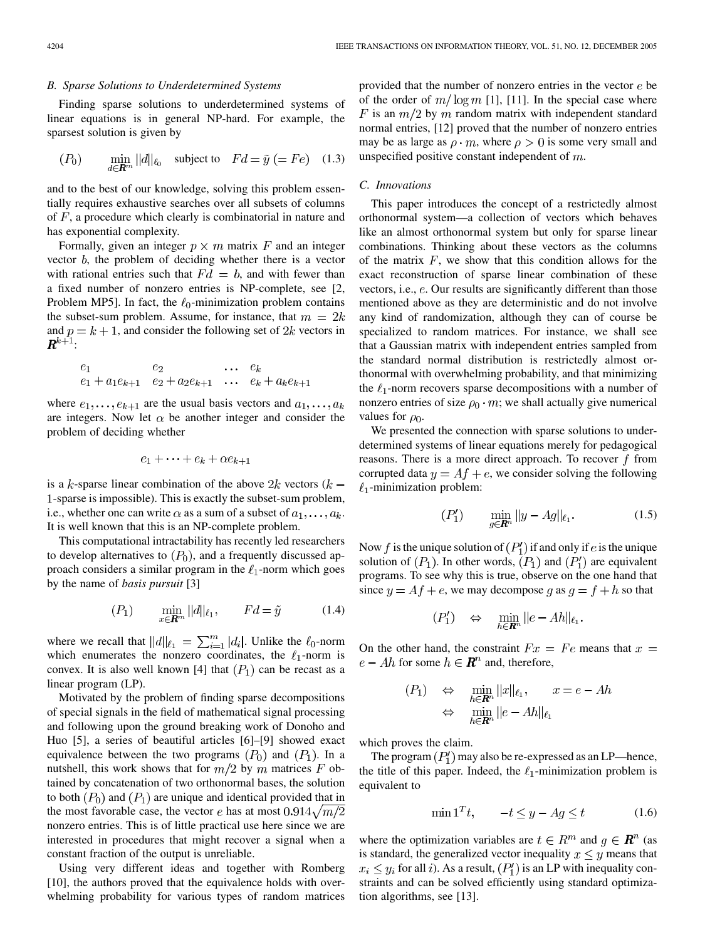### *B. Sparse Solutions to Underdetermined Systems*

Finding sparse solutions to underdetermined systems of linear equations is in general NP-hard. For example, the sparsest solution is given by

$$
(P_0) \qquad \min_{d \in \mathbf{R}^m} ||d||_{\ell_0} \quad \text{subject to} \quad Fd = \tilde{y} \ (=Fe) \quad (1.3)
$$

and to the best of our knowledge, solving this problem essentially requires exhaustive searches over all subsets of columns of  $F$ , a procedure which clearly is combinatorial in nature and has exponential complexity.

Formally, given an integer  $p \times m$  matrix F and an integer vector  $b$ , the problem of deciding whether there is a vector with rational entries such that  $Fd = b$ , and with fewer than a fixed number of nonzero entries is NP-complete, see [\[2](#page-11-0), Problem MP5]. In fact, the  $\ell_0$ -minimization problem contains the subset-sum problem. Assume, for instance, that  $m = 2k$ and  $p = k + 1$ , and consider the following set of 2k vectors in  $\pmb{R}^{k+1}\cdot$ 

$$
e_1
$$
  $e_2$   $\dots$   $e_k$   
 $e_1 + a_1e_{k+1}$   $e_2 + a_2e_{k+1}$   $\dots$   $e_k + a_ke_{k+1}$ 

where  $e_1, \ldots, e_{k+1}$  are the usual basis vectors and  $a_1, \ldots, a_k$ are integers. Now let  $\alpha$  be another integer and consider the problem of deciding whether

$$
e_1 + \cdots + e_k + \alpha e_{k+1}
$$

is a k-sparse linear combination of the above  $2k$  vectors  $(k -$ 1-sparse is impossible). This is exactly the subset-sum problem, i.e., whether one can write  $\alpha$  as a sum of a subset of  $a_1, \ldots, a_k$ . It is well known that this is an NP-complete problem.

This computational intractability has recently led researchers to develop alternatives to  $(P_0)$ , and a frequently discussed approach considers a similar program in the  $\ell_1$ -norm which goes by the name of *basis pursuit* [\[3](#page-11-0)]

$$
(P_1) \qquad \min_{x \in \mathbb{R}^m} ||d||_{\ell_1}, \qquad Fd = \tilde{y} \tag{1.4}
$$

where we recall that  $||d||_{\ell_1} = \sum_{i=1}^m |d_i|$ . Unlike the  $\ell_0$ -norm which enumerates the nonzero coordinates, the  $\ell_1$ -norm is convex. It is also well known [\[4](#page-11-0)] that  $(P_1)$  can be recast as a linear program (LP).

Motivated by the problem of finding sparse decompositions of special signals in the field of mathematical signal processing and following upon the ground breaking work of Donoho and Huo [[5\]](#page-11-0), a series of beautiful articles [[6\]](#page-11-0)–[\[9](#page-12-0)] showed exact equivalence between the two programs  $(P_0)$  and  $(P_1)$ . In a nutshell, this work shows that for  $m/2$  by m matrices F obtained by concatenation of two orthonormal bases, the solution to both  $(P_0)$  and  $(P_1)$  are unique and identical provided that in the most favorable case, the vector e has at most  $0.914\sqrt{m/2}$ nonzero entries. This is of little practical use here since we are interested in procedures that might recover a signal when a constant fraction of the output is unreliable.

Using very different ideas and together with Romberg [[10\]](#page-12-0), the authors proved that the equivalence holds with overwhelming probability for various types of random matrices

provided that the number of nonzero entries in the vector  $e$  be of the order of  $m/\log m$  [[1](#page-11-0)], [\[11](#page-12-0)]. In the special case where F is an  $m/2$  by m random matrix with independent standard normal entries, [[12\]](#page-12-0) proved that the number of nonzero entries may be as large as  $\rho \cdot m$ , where  $\rho > 0$  is some very small and unspecified positive constant independent of  $m$ .

## *C. Innovations*

This paper introduces the concept of a restrictedly almost orthonormal system—a collection of vectors which behaves like an almost orthonormal system but only for sparse linear combinations. Thinking about these vectors as the columns of the matrix  $F$ , we show that this condition allows for the exact reconstruction of sparse linear combination of these vectors, i.e.,  $e$ . Our results are significantly different than those mentioned above as they are deterministic and do not involve any kind of randomization, although they can of course be specialized to random matrices. For instance, we shall see that a Gaussian matrix with independent entries sampled from the standard normal distribution is restrictedly almost orthonormal with overwhelming probability, and that minimizing the  $\ell_1$ -norm recovers sparse decompositions with a number of nonzero entries of size  $\rho_0 \cdot m$ ; we shall actually give numerical values for  $\rho_0$ .

We presented the connection with sparse solutions to underdetermined systems of linear equations merely for pedagogical reasons. There is a more direct approach. To recover  $f$  from corrupted data  $y = Af + e$ , we consider solving the following  $\ell_1$ -minimization problem:

$$
(P_1') \qquad \min_{g \in \mathbf{R}^n} \|y - Ag\|_{\ell_1}.
$$
 (1.5)

Now f is the unique solution of  $(P'_1)$  if and only if e is the unique solution of  $(P_1)$ . In other words,  $(P_1)$  and  $(P'_1)$  are equivalent programs. To see why this is true, observe on the one hand that since  $y = Af + e$ , we may decompose g as  $g = f + h$  so that

$$
(P_1') \quad \Leftrightarrow \quad \min_{h \in \mathbb{R}^n} ||e - Ah||_{\ell_1}.
$$

On the other hand, the constraint  $Fx = Fe$  means that  $x =$  $e - Ah$  for some  $h \in \mathbb{R}^n$  and, therefore,

$$
(P_1) \Leftrightarrow \min_{h \in \mathbb{R}^n} ||x||_{\ell_1}, \qquad x = e - Ah
$$
  

$$
\Leftrightarrow \min_{h \in \mathbb{R}^n} ||e - Ah||_{\ell_1}
$$

which proves the claim.

The program  $(P'_1)$  may also be re-expressed as an LP—hence, the title of this paper. Indeed, the  $\ell_1$ -minimization problem is equivalent to

$$
\min \mathbf{1}^T t, \qquad -t \le y - Ag \le t \tag{1.6}
$$

where the optimization variables are  $t \in R^m$  and  $g \in \mathbb{R}^n$  (as is standard, the generalized vector inequality  $x \leq y$  means that  $x_i \leq y_i$  for all i). As a result,  $(P'_1)$  is an LP with inequality constraints and can be solved efficiently using standard optimization algorithms, see [[13\]](#page-12-0).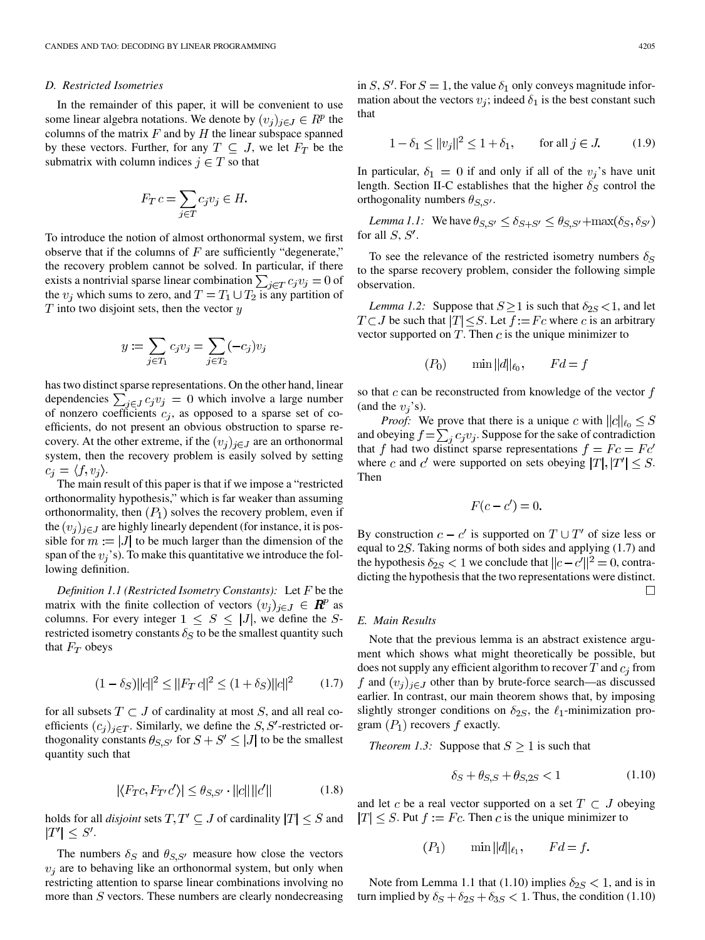## *D. Restricted Isometries*

In the remainder of this paper, it will be convenient to use some linear algebra notations. We denote by  $(v_i)_{i \in J} \in \mathbb{R}^p$  the columns of the matrix  $F$  and by  $H$  the linear subspace spanned by these vectors. Further, for any  $T \subseteq J$ , we let  $F_T$  be the submatrix with column indices  $j \in T$  so that

$$
F_T c = \sum_{j \in T} c_j v_j \in H.
$$

To introduce the notion of almost orthonormal system, we first observe that if the columns of  $F$  are sufficiently "degenerate," the recovery problem cannot be solved. In particular, if there exists a nontrivial sparse linear combination  $\sum_{j \in T} c_j v_j = 0$  of the  $v_i$  which sums to zero, and  $T = T_1 \cup T_2$  is any partition of  $T$  into two disjoint sets, then the vector  $y$ 

$$
y := \sum_{j \in T_1} c_j v_j = \sum_{j \in T_2} (-c_j) v_j
$$

has two distinct sparse representations. On the other hand, linear dependencies  $\sum_{j \in J} c_j v_j = 0$  which involve a large number of nonzero coefficients  $c_j$ , as opposed to a sparse set of coefficients, do not present an obvious obstruction to sparse recovery. At the other extreme, if the  $(v_j)_{j \in J}$  are an orthonormal system, then the recovery problem is easily solved by setting  $c_i = \langle f, v_i \rangle$ .

The main result of this paper is that if we impose a "restricted orthonormality hypothesis," which is far weaker than assuming orthonormality, then  $(P_1)$  solves the recovery problem, even if the  $(v_i)_{i \in J}$  are highly linearly dependent (for instance, it is possible for  $m := |J|$  to be much larger than the dimension of the span of the  $v_i$ 's). To make this quantitative we introduce the following definition.

*Definition 1.1 (Restricted Isometry Constants):* Let F be the matrix with the finite collection of vectors  $(v_j)_{j \in J} \in \mathbb{R}^p$  as columns. For every integer  $1 \leq S \leq |J|$ , we define the Srestricted isometry constants  $\delta_S$  to be the smallest quantity such that  $F_T$  obeys

$$
(1 - \delta_S) ||c||^2 \le ||F_T c||^2 \le (1 + \delta_S) ||c||^2 \qquad (1.7)
$$

for all subsets  $T \subset J$  of cardinality at most S, and all real coefficients  $(c_j)_{j \in T}$ . Similarly, we define the S, S'-restricted orthogonality constants  $\theta_{S,S'}$  for  $S + S' \leq |J|$  to be the smallest quantity such that

$$
|\langle F_{T}c, F_{T'}c' \rangle| \le \theta_{S,S'} \cdot ||c|| ||c'|| \tag{1.8}
$$

holds for all *disjoint* sets  $T, T' \subseteq J$  of cardinality  $|T| \leq S$  and  $|T'| \leq S'.$ 

The numbers  $\delta_S$  and  $\theta_{S,S'}$  measure how close the vectors  $v_i$  are to behaving like an orthonormal system, but only when restricting attention to sparse linear combinations involving no more than  $S$  vectors. These numbers are clearly nondecreasing in S, S'. For  $S = 1$ , the value  $\delta_1$  only conveys magnitude information about the vectors  $v_i$ ; indeed  $\delta_1$  is the best constant such that

$$
1 - \delta_1 \le ||v_j||^2 \le 1 + \delta_1, \qquad \text{for all } j \in J. \tag{1.9}
$$

In particular,  $\delta_1 = 0$  if and only if all of the  $v_j$ 's have unit length. Section II-C establishes that the higher  $\delta_S$  control the orthogonality numbers  $\theta_{S,S'}$ .

*Lemma 1.1:* We have  $\theta_{S,S'} \leq \delta_{S+S'} \leq \theta_{S,S'} + \max(\delta_S, \delta_{S'})$ for all  $S, S'$ .

To see the relevance of the restricted isometry numbers  $\delta_{\rm S}$ to the sparse recovery problem, consider the following simple observation.

*Lemma 1.2:* Suppose that  $S \ge 1$  is such that  $\delta_{2S} < 1$ , and let  $T \subset J$  be such that  $|T| \leq S$ . Let  $f := Fc$  where c is an arbitrary vector supported on  $T$ . Then  $c$  is the unique minimizer to

$$
(P_0) \qquad \min ||d||_{\ell_0}, \qquad Fd = f
$$

so that  $c$  can be reconstructed from knowledge of the vector  $f$ (and the  $v_i$ 's).

*Proof:* We prove that there is a unique c with  $||c||_{\ell_0} \leq S$ and obeying  $f = \sum_i c_i v_i$ . Suppose for the sake of contradiction that f had two distinct sparse representations  $f = Fc = Fc'$ where c and c' were supported on sets obeying  $|T|, |T'| \leq S$ . Then

$$
F(c-c')=0
$$

By construction  $c - c'$  is supported on  $T \cup T'$  of size less or equal to  $2S$ . Taking norms of both sides and applying (1.7) and the hypothesis  $\delta_{2S} < 1$  we conclude that  $||c - c'||^2 = 0$ , contradicting the hypothesis that the two representations were distinct.  $\Box$ 

## *E. Main Results*

Note that the previous lemma is an abstract existence argument which shows what might theoretically be possible, but does not supply any efficient algorithm to recover T and  $c_j$  from f and  $(v_j)_{j \in J}$  other than by brute-force search—as discussed earlier. In contrast, our main theorem shows that, by imposing slightly stronger conditions on  $\delta_{2S}$ , the  $\ell_1$ -minimization program  $(P_1)$  recovers f exactly.

*Theorem 1.3:* Suppose that  $S \geq 1$  is such that

$$
\delta_S + \theta_{S,S} + \theta_{S,2S} < 1 \tag{1.10}
$$

and let c be a real vector supported on a set  $T \subset J$  obeying  $|T| \leq S$ . Put  $f := Fc$ . Then c is the unique minimizer to

$$
(P_1) \qquad \min ||d||_{\ell_1}, \qquad Fd = f.
$$

Note from Lemma 1.1 that (1.10) implies  $\delta_{2S}$  < 1, and is in turn implied by  $\delta_S + \delta_{2S} + \delta_{3S} < 1$ . Thus, the condition (1.10)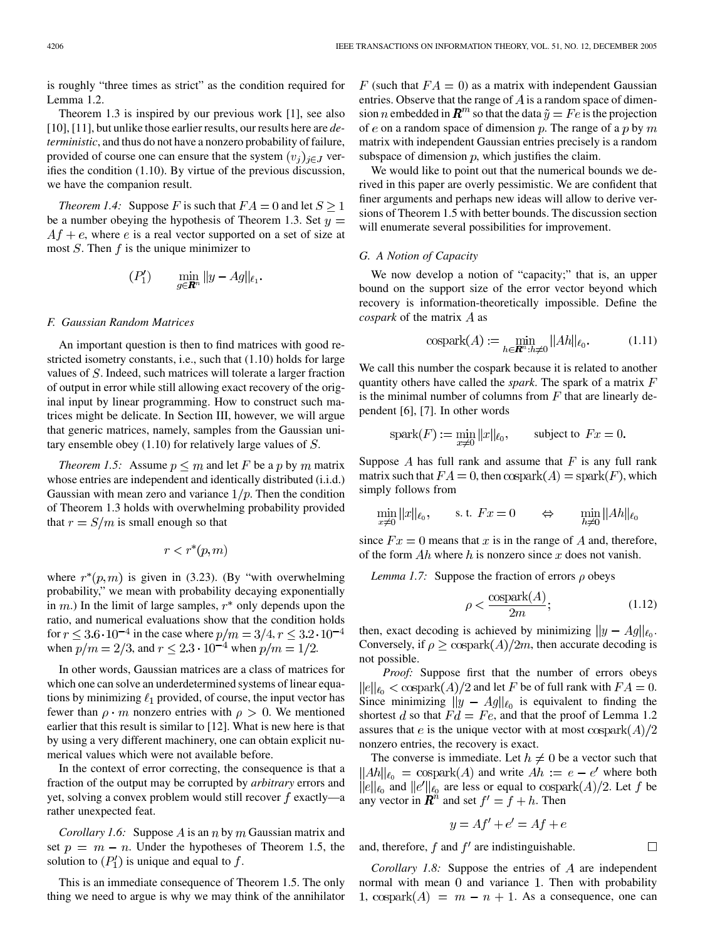is roughly "three times as strict" as the condition required for Lemma 1.2.

Theorem 1.3 is inspired by our previous work [\[1](#page-11-0)], see also [[10\]](#page-12-0), [[11\]](#page-12-0), but unlike those earlier results, our results here are *deterministic*, and thus do not have a nonzero probability of failure, provided of course one can ensure that the system  $(v_i)_{i \in J}$  verifies the condition (1.10). By virtue of the previous discussion, we have the companion result.

*Theorem 1.4:* Suppose F is such that  $FA = 0$  and let  $S \ge 1$ be a number obeying the hypothesis of Theorem 1.3. Set  $y =$  $Af + e$ , where e is a real vector supported on a set of size at most  $S$ . Then  $f$  is the unique minimizer to

$$
(P_1') \qquad \min_{g \in \mathbf{R}^n} ||y - Ag||_{\ell_1}.
$$

### *F. Gaussian Random Matrices*

An important question is then to find matrices with good restricted isometry constants, i.e., such that (1.10) holds for large values of  $S$ . Indeed, such matrices will tolerate a larger fraction of output in error while still allowing exact recovery of the original input by linear programming. How to construct such matrices might be delicate. In Section III, however, we will argue that generic matrices, namely, samples from the Gaussian unitary ensemble obey  $(1.10)$  for relatively large values of  $S$ .

*Theorem 1.5:* Assume  $p \leq m$  and let F be a p by m matrix whose entries are independent and identically distributed  $(i.i.d.)$ Gaussian with mean zero and variance  $1/p$ . Then the condition of Theorem 1.3 holds with overwhelming probability provided that  $r = S/m$  is small enough so that

$$
r < r^*(p, m)
$$

where  $r^*(p, m)$  is given in (3.23). (By "with overwhelming probability," we mean with probability decaying exponentially in  $m$ .) In the limit of large samples,  $r^*$  only depends upon the ratio, and numerical evaluations show that the condition holds for  $r \leq 3.6 \cdot 10^{-4}$  in the case where  $p/m = 3/4, r \leq 3.2 \cdot 10^{-4}$ when  $p/m = 2/3$ , and  $r \le 2.3 \cdot 10^{-4}$  when  $p/m = 1/2$ .

In other words, Gaussian matrices are a class of matrices for which one can solve an underdetermined systems of linear equations by minimizing  $\ell_1$  provided, of course, the input vector has fewer than  $\rho \cdot m$  nonzero entries with  $\rho > 0$ . We mentioned earlier that this result is similar to [[12\]](#page-12-0). What is new here is that by using a very different machinery, one can obtain explicit numerical values which were not available before.

In the context of error correcting, the consequence is that a fraction of the output may be corrupted by *arbitrary* errors and yet, solving a convex problem would still recover  $f$  exactly—a rather unexpected feat.

*Corollary 1.6:* Suppose A is an n by m Gaussian matrix and set  $p = m - n$ . Under the hypotheses of Theorem 1.5, the solution to  $(P'_1)$  is unique and equal to f.

This is an immediate consequence of Theorem 1.5. The only thing we need to argue is why we may think of the annihilator

F (such that  $FA = 0$ ) as a matrix with independent Gaussian entries. Observe that the range of  $\vec{A}$  is a random space of dimension *n* embedded in  $\mathbb{R}^m$  so that the data  $\tilde{y} = Fe$  is the projection of e on a random space of dimension p. The range of a p by m matrix with independent Gaussian entries precisely is a random subspace of dimension  $p$ , which justifies the claim.

We would like to point out that the numerical bounds we derived in this paper are overly pessimistic. We are confident that finer arguments and perhaps new ideas will allow to derive versions of Theorem 1.5 with better bounds. The discussion section will enumerate several possibilities for improvement.

## *G. A Notion of Capacity*

We now develop a notion of "capacity;" that is, an upper bound on the support size of the error vector beyond which recovery is information-theoretically impossible. Define the *cospark* of the matrix  $\vec{A}$  as

$$
\text{cospark}(A) := \min_{h \in \mathbf{R}^n : h \neq 0} ||Ah||_{\ell_0}.
$$
 (1.11)

We call this number the cospark because it is related to another quantity others have called the *spark*. The spark of a matrix is the minimal number of columns from  $F$  that are linearly dependent [\[6](#page-11-0)], [\[7](#page-11-0)]. In other words

$$
spark(F) := \min_{x \neq 0} ||x||_{\ell_0}, \qquad subject \text{ to } Fx = 0.
$$

Suppose  $A$  has full rank and assume that  $F$  is any full rank matrix such that  $FA = 0$ , then  $\mathrm{cospark}(A) = \mathrm{spark}(F)$ , which simply follows from

$$
\min_{x \neq 0} ||x||_{\ell_0}, \qquad \text{s.t. } Fx = 0 \qquad \Leftrightarrow \qquad \min_{h \neq 0} ||Ah||_{\ell_0}
$$

since  $Fx = 0$  means that x is in the range of A and, therefore, of the form  $Ah$  where h is nonzero since x does not vanish.

*Lemma 1.7:* Suppose the fraction of errors  $\rho$  obeys

$$
\rho < \frac{\text{cospark}(A)}{2m};\tag{1.12}
$$

 $\Box$ 

then, exact decoding is achieved by minimizing  $||y - Ag||_{\ell_0}$ . Conversely, if  $\rho \geq \text{cospark}(A)/2m$ , then accurate decoding is not possible.

*Proof:* Suppose first that the number of errors obeys  $||e||_{\ell_0} < \text{cospark}(A)/2$  and let F be of full rank with  $FA = 0$ . Since minimizing  $||y - Ag||_{\ell_0}$  is equivalent to finding the shortest d so that  $Fd = Fe$ , and that the proof of Lemma 1.2 assures that e is the unique vector with at most cospark $(A)/2$ nonzero entries, the recovery is exact.

The converse is immediate. Let  $h \neq 0$  be a vector such that  $||Ah||_{\ell_0} = \text{cospark}(A)$  and write  $Ah := e - e'$  where both  $||e||_{\ell_0}$  and  $||e'||_{\ell_0}$  are less or equal to  $\cosh(A)/2$ . Let f be any vector in  $\mathbf{R}^n$  and set  $f' = f + h$ . Then

$$
y = Af' + e' = Af + e
$$

and, therefore,  $f$  and  $f'$  are indistinguishable.

*Corollary 1.8:* Suppose the entries of A are independent normal with mean  $0$  and variance 1. Then with probability 1,  $\cosh(A) = m - n + 1$ . As a consequence, one can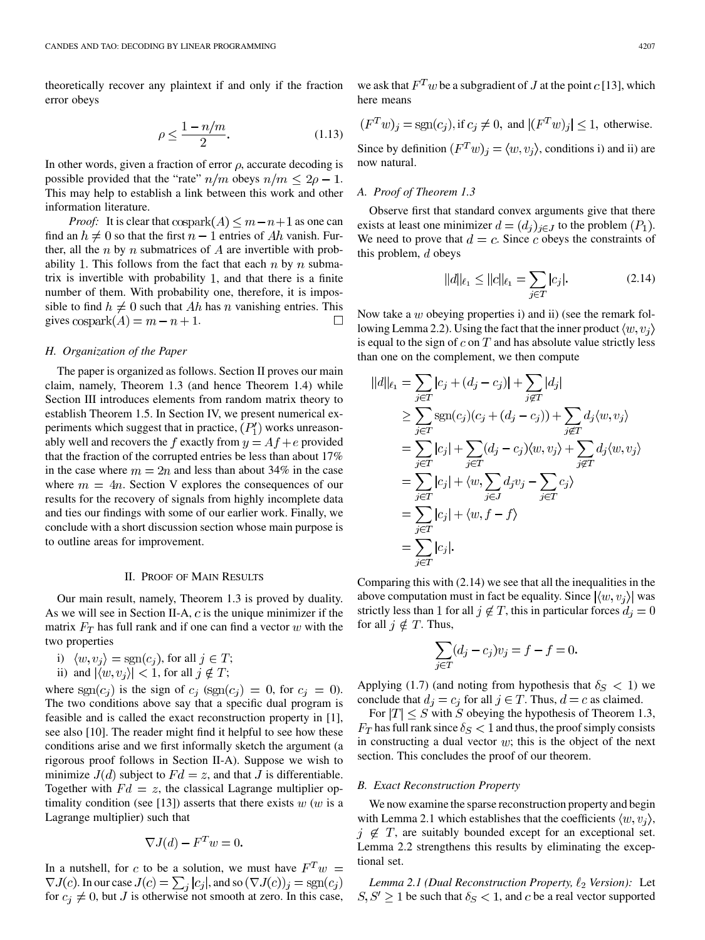theoretically recover any plaintext if and only if the fraction error obeys

$$
\rho \le \frac{1 - n/m}{2}.\tag{1.13}
$$

In other words, given a fraction of error  $\rho$ , accurate decoding is possible provided that the "rate"  $n/m$  obeys  $n/m \leq 2\rho - 1$ . This may help to establish a link between this work and other information literature.

*Proof:* It is clear that  $\cosh(A) \leq m - n + 1$  as one can find an  $h \neq 0$  so that the first  $n-1$  entries of Ah vanish. Further, all the n by n submatrices of A are invertible with probability 1. This follows from the fact that each  $n$  by  $n$  submatrix is invertible with probability 1, and that there is a finite number of them. With probability one, therefore, it is impossible to find  $h \neq 0$  such that Ah has n vanishing entries. This gives  $\operatorname{cospark}(A) = m - n + 1$ .  $\Box$ 

## *H. Organization of the Paper*

The paper is organized as follows. Section II proves our main claim, namely, Theorem 1.3 (and hence Theorem 1.4) while Section III introduces elements from random matrix theory to establish Theorem 1.5. In Section IV, we present numerical experiments which suggest that in practice,  $(P'_1)$  works unreasonably well and recovers the f exactly from  $y = Af + e$  provided that the fraction of the corrupted entries be less than about 17% in the case where  $m = 2n$  and less than about 34% in the case where  $m = 4n$ . Section V explores the consequences of our results for the recovery of signals from highly incomplete data and ties our findings with some of our earlier work. Finally, we conclude with a short discussion section whose main purpose is to outline areas for improvement.

#### II. PROOF OF MAIN RESULTS

Our main result, namely, Theorem 1.3 is proved by duality. As we will see in Section II-A,  $c$  is the unique minimizer if the matrix  $F_T$  has full rank and if one can find a vector w with the two properties

- i)  $\langle w, v_j \rangle = \text{sgn}(c_j)$ , for all  $j \in T$ ;
- ii) and  $|\langle w, v_j \rangle| < 1$ , for all  $j \notin T$ ;

where  $sgn(c_j)$  is the sign of  $c_j$  (sgn( $c_j$ ) = 0, for  $c_j$  = 0). The two conditions above say that a specific dual program is feasible and is called the exact reconstruction property in [\[1](#page-11-0)], see also [[10\]](#page-12-0). The reader might find it helpful to see how these conditions arise and we first informally sketch the argument (a rigorous proof follows in Section II-A). Suppose we wish to minimize  $J(d)$  subject to  $Fd = z$ , and that J is differentiable. Together with  $Fd = z$ , the classical Lagrange multiplier op-timality condition (see [\[13](#page-12-0)]) asserts that there exists  $w(w)$  is a Lagrange multiplier) such that

$$
\nabla J(d) - F^T w = 0
$$

In a nutshell, for c to be a solution, we must have  $F^T w =$  $\nabla J(c)$ . In our case  $J(c) = \sum_j |c_j|$ , and so  $(\nabla J(c))_j = \text{sgn}(c_j)$ for  $c_j \neq 0$ , but J is otherwise not smooth at zero. In this case,

we ask that  $F^T w$  be a subgradient of J at the point c [\[13](#page-12-0)], which here means

$$
(F^T w)_j = sgn(c_j), \text{ if } c_j \neq 0, \text{ and } |(F^T w)_j| \leq 1, \text{ otherwise.}
$$

Since by definition  $(F^Tw)_i = \langle w, v_i \rangle$ , conditions i) and ii) are now natural.

## *A. Proof of Theorem 1.3*

Observe first that standard convex arguments give that there exists at least one minimizer  $d = (d_j)_{j \in J}$  to the problem  $(P_1)$ . We need to prove that  $d = c$ . Since c obeys the constraints of this problem,  $d$  obeys

$$
||d||_{\ell_1} \le ||c||_{\ell_1} = \sum_{j \in T} |c_j|.
$$
 (2.14)

Now take a  $w$  obeying properties i) and ii) (see the remark following Lemma 2.2). Using the fact that the inner product  $\langle w, v_i \rangle$ is equal to the sign of  $c$  on  $T$  and has absolute value strictly less than one on the complement, we then compute

$$
||d||_{\ell_1} = \sum_{j \in T} |c_j + (d_j - c_j)| + \sum_{j \notin T} |d_j|
$$
  
\n
$$
\geq \sum_{j \in T} \text{sgn}(c_j)(c_j + (d_j - c_j)) + \sum_{j \notin T} d_j \langle w, v_j \rangle
$$
  
\n
$$
= \sum_{j \in T} |c_j| + \sum_{j \in T} (d_j - c_j) \langle w, v_j \rangle + \sum_{j \notin T} d_j \langle w, v_j \rangle
$$
  
\n
$$
= \sum_{j \in T} |c_j| + \langle w, \sum_{j \in J} d_j v_j - \sum_{j \in T} c_j \rangle
$$
  
\n
$$
= \sum_{j \in T} |c_j| + \langle w, f - f \rangle
$$
  
\n
$$
= \sum_{j \in T} |c_j|.
$$

Comparing this with (2.14) we see that all the inequalities in the above computation must in fact be equality. Since  $|\langle w, v_i \rangle|$  was strictly less than 1 for all  $j \notin T$ , this in particular forces  $d_j = 0$ for all  $j \notin T$ . Thus,

$$
\sum_{j \in T} (d_j - c_j)v_j = f - f = 0.
$$

Applying (1.7) (and noting from hypothesis that  $\delta_S < 1$ ) we conclude that  $d_i = c_i$  for all  $j \in T$ . Thus,  $d = c$  as claimed.

For  $|T| \leq S$  with S obeying the hypothesis of Theorem 1.3,  $F_T$  has full rank since  $\delta_S < 1$  and thus, the proof simply consists in constructing a dual vector  $w$ ; this is the object of the next section. This concludes the proof of our theorem.

#### *B. Exact Reconstruction Property*

We now examine the sparse reconstruction property and begin with Lemma 2.1 which establishes that the coefficients  $\langle w, v_i \rangle$ ,  $j \notin T$ , are suitably bounded except for an exceptional set. Lemma 2.2 strengthens this results by eliminating the exceptional set.

*Lemma 2.1 (Dual Reconstruction Property,*  $\ell_2$  *Version):* Let  $S, S' \geq 1$  be such that  $\delta_S < 1$ , and c be a real vector supported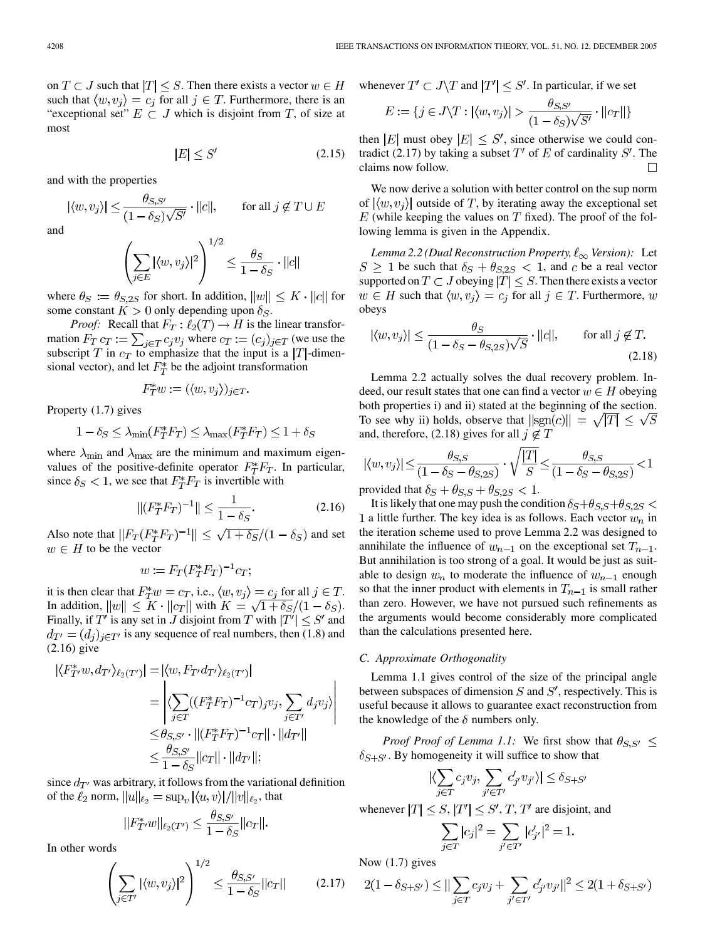on  $T \subset J$  such that  $|T| \leq S$ . Then there exists a vector  $w \in H$ such that  $\langle w, v_i \rangle = c_i$  for all  $j \in T$ . Furthermore, there is an "exceptional set"  $E \subset J$  which is disjoint from T, of size at most

$$
|E| \le S' \tag{2.15}
$$

and with the properties

$$
|\langle w, v_j \rangle| \le \frac{\theta_{S,S'}}{(1-\delta_S)\sqrt{S'}} \cdot ||c||,
$$
 for all  $j \notin T \cup E$ 

and

$$
\left(\sum_{j\in E} |\langle w, v_j\rangle|^2\right)^{1/2} \le \frac{\theta_S}{1-\delta_S} \cdot ||c||
$$

where  $\theta_S := \theta_{S,2S}$  for short. In addition,  $||w|| \leq K \cdot ||c||$  for some constant  $K > 0$  only depending upon  $\delta_S$ .

*Proof:* Recall that  $F_T: \ell_2(T) \to H$  is the linear transformation  $F_T c_T := \sum_{j \in T} c_j v_j$  where  $c_T := (c_j)_{j \in T}$  (we use the subscript T in  $c_T$  to emphasize that the input is a |T|-dimensional vector), and let  $F^*$  be the adjoint transformation

$$
F_T^* w := (\langle w, v_j \rangle)_{j \in T}.
$$

Property (1.7) gives

$$
1 - \delta_S \le \lambda_{\min}(F_T^* F_T) \le \lambda_{\max}(F_T^* F_T) \le 1 + \delta_S
$$

where  $\lambda_{\min}$  and  $\lambda_{\max}$  are the minimum and maximum eigenvalues of the positive-definite operator  $F_T^*F_T$ . In particular, since  $\delta_S < 1$ , we see that  $F^*_T F_T$  is invertible with

$$
||(F_T^*F_T)^{-1}|| \le \frac{1}{1 - \delta_S}.\tag{2.16}
$$

Also note that  $||F_T(F_T^*F_T)^{-1}|| \leq \sqrt{1+\delta_S}/(1-\delta_S)$  and set  $w \in H$  to be the vector

$$
w := F_T(F_T^*F_T)^{-1}c_T;
$$

it is then clear that  $F_T^*w = c_T$ , i.e.,  $\langle w, v_j \rangle = c_j$  for all  $j \in T$ . In addition,  $||w|| \le K \cdot ||c_T||$  with  $K = \sqrt{1 + \delta_S}/(1 - \delta_S)$ . Finally, if  $T'$  is any set in J disjoint from T with  $|T'| \leq S'$  and  $d_{T'} = (d_i)_{i \in T'}$  is any sequence of real numbers, then (1.8) and (2.16) give

$$
\begin{aligned} |\langle F_{T'}^*w, d_{T'} \rangle_{\ell_2(T')}| &= |\langle w, F_{T'}d_{T'} \rangle_{\ell_2(T')}| \\ &= \left| \langle \sum_{j \in T} ((F_T^*F_T)^{-1}c_T)_j v_j, \sum_{j \in T'} d_j v_j \rangle \right| \\ &\leq \theta_{S,S'} \cdot ||(F_T^*F_T)^{-1}c_T|| \cdot ||d_{T'}|| \\ &\leq \frac{\theta_{S,S'}}{1 - \delta_S} ||c_T|| \cdot ||d_{T'}||; \end{aligned}
$$

since  $d_{T'}$  was arbitrary, it follows from the variational definition of the  $\ell_2$  norm,  $||u||_{\ell_2} = \sup_v |\langle u, v \rangle| / ||v||_{\ell_2}$ , that

$$
||F_{T'}^*w||_{\ell_2(T')} \le \frac{\theta_{S,S'}}{1-\delta_S}||c_T||.
$$

In other words

$$
\left(\sum_{j\in T'} |\langle w, v_j\rangle|^2\right)^{1/2} \le \frac{\theta_{S,S'}}{1-\delta_S} ||c_T|| \tag{2.17}
$$

whenever  $T' \subset J \backslash T$  and  $|T'| \leq S'$ . In particular, if we set

$$
E := \{ j \in J \setminus T : |\langle w, v_j \rangle| > \frac{\theta_{S, S'}}{(1 - \delta_S) \sqrt{S'}} \cdot ||c_T|| \}
$$

then |E| must obey  $|E| \leq S'$ , since otherwise we could contradict (2.17) by taking a subset  $T'$  of E of cardinality S'. The claims now follow.  $\Box$ 

We now derive a solution with better control on the sup norm of  $|\langle w, v_i \rangle|$  outside of T, by iterating away the exceptional set  $E$  (while keeping the values on  $T$  fixed). The proof of the following lemma is given in the Appendix.

*Lemma 2.2 (Dual Reconstruction Property,*  $\ell_{\infty}$  Version): Let  $S \ge 1$  be such that  $\delta_S + \theta_{S,2S} < 1$ , and c be a real vector supported on  $T \subset J$  obeying  $|T| \leq S$ . Then there exists a vector  $w \in H$  such that  $\langle w, v_j \rangle = c_j$  for all  $j \in T$ . Furthermore, w obeys

$$
|\langle w, v_j \rangle| \le \frac{\theta_S}{(1 - \delta_S - \theta_{S, 2S})\sqrt{S}} \cdot ||c||, \quad \text{for all } j \notin T.
$$
\n(2.18)

Lemma 2.2 actually solves the dual recovery problem. Indeed, our result states that one can find a vector  $w \in H$  obeying both properties i) and ii) stated at the beginning of the section. To see why ii) holds, observe that  $||sgn(c)|| = \sqrt{|T|} \leq \sqrt{S}$ and, therefore, (2.18) gives for all  $j \notin T$ 

$$
|\langle w, v_j \rangle| \le \frac{\theta_{S,S}}{(1 - \delta_S - \theta_{S,2S})} \cdot \sqrt{\frac{|T|}{S}} \le \frac{\theta_{S,S}}{(1 - \delta_S - \theta_{S,2S})} < 1
$$
  
provided that  $\delta_S + \theta_{S,S} + \theta_{S,S} \le 1$ 

provided that  $\delta_S + \theta_{S,S} + \theta_{S,2S} < 1$ .

It is likely that one may push the condition  $\delta_S + \theta_{S,S} + \theta_{S,2S}$ 1 a little further. The key idea is as follows. Each vector  $w_n$  in the iteration scheme used to prove Lemma 2.2 was designed to annihilate the influence of  $w_{n-1}$  on the exceptional set  $T_{n-1}$ . But annihilation is too strong of a goal. It would be just as suitable to design  $w_n$  to moderate the influence of  $w_{n-1}$  enough so that the inner product with elements in  $T_{n-1}$  is small rather than zero. However, we have not pursued such refinements as the arguments would become considerably more complicated than the calculations presented here.

## *C. Approximate Orthogonality*

Lemma 1.1 gives control of the size of the principal angle between subspaces of dimension  $S$  and  $S'$ , respectively. This is useful because it allows to guarantee exact reconstruction from the knowledge of the  $\delta$  numbers only.

*Proof Proof of Lemma 1.1:* We first show that  $\theta_{S,S'} \leq$  $\delta_{S+S'}$ . By homogeneity it will suffice to show that

$$
|\langle \sum_{j \in T} c_j v_j, \sum_{j' \in T'} c'_{j'} v_{j'} \rangle| \le \delta_{S+S'}
$$

whenever  $|T| \leq S$ ,  $|T'| \leq S'$ , T, T' are disjoint, and

$$
\sum_{j \in T} |c_j|^2 = \sum_{j' \in T'} |c'_{j'}|^2 = 1.
$$

Now (1.7) gives

$$
2(1-\delta_{S+S'}) \leq ||\sum_{j\in T} c_j v_j + \sum_{j'\in T'} c'_{j'} v_{j'}||^2 \leq 2(1+\delta_{S+S'})
$$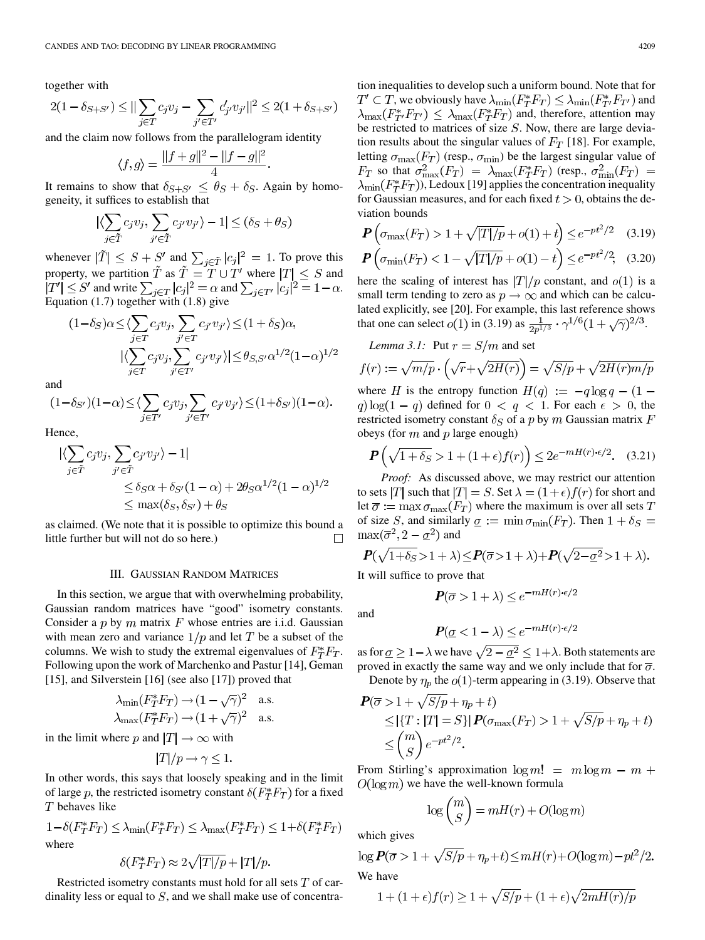together with

$$
2(1-\delta_{S+S'})\leq ||\sum_{j\in T}c_jv_j-\sum_{j'\in T'}c'_{j'}v_{j'}||^2\leq 2(1+\delta_{S+S'})
$$

and the claim now follows from the parallelogram identity

$$
\langle f, g \rangle = \frac{||f + g||^2 - ||f - g||^2}{4}.
$$

It remains to show that  $\delta_{S+S'} \leq \theta_S + \delta_S$ . Again by homogeneity, it suffices to establish that

$$
|\langle \sum_{j \in \tilde{T}} c_j v_j, \sum_{j' \in \tilde{T}} c_{j'} v_{j'} \rangle - 1| \le (\delta_S + \theta_S)
$$

whenever  $|\tilde{T}| \leq S + S'$  and  $\sum_{j \in \tilde{T}} |c_j|^2 = 1$ . To prove this property, we partition  $\tilde{T}$  as  $\tilde{T} = T \cup T'$  where  $|T| \leq S$  and  $|T'| \leq S'$  and write  $\sum_{j \in T} |c_j|^2 = \alpha$  and  $\sum_{j \in T'} |c_j|^2 = 1 - \alpha$ . Equation (1.7) together with (1.8) give

$$
(1 - \delta_S)\alpha \le \langle \sum_{j \in T} c_j v_j, \sum_{j' \in T} c_{j'} v_{j'} \rangle \le (1 + \delta_S)\alpha,
$$
  

$$
|\langle \sum_{j \in T} c_j v_j, \sum_{j' \in T'} c_{j'} v_{j'} \rangle| \le \theta_{S,S'}\alpha^{1/2} (1 - \alpha)^{1/2}
$$

and

$$
(1-\delta_{S'})(1-\alpha) \leq \langle \sum_{j \in T'} c_j v_j, \sum_{j' \in T'} c_{j'} v_{j'} \rangle \leq (1+\delta_{S'})(1-\alpha).
$$

Hence,

$$
\begin{aligned} |\langle \sum_{j \in \tilde{T}} c_j v_j, \sum_{j' \in \tilde{T}} c_{j'} v_{j'} \rangle - 1| \\ &\le \delta_S \alpha + \delta_{S'} (1 - \alpha) + 2\theta_S \alpha^{1/2} (1 - \alpha)^{1/2} \\ &\le \max(\delta_S, \delta_{S'}) + \theta_S \end{aligned}
$$

as claimed. (We note that it is possible to optimize this bound a П little further but will not do so here.)

## III. GAUSSIAN RANDOM MATRICES

In this section, we argue that with overwhelming probability, Gaussian random matrices have "good" isometry constants. Consider a p by m matrix F whose entries are i.i.d. Gaussian with mean zero and variance  $1/p$  and let T be a subset of the columns. We wish to study the extremal eigenvalues of  $F_T^*F_T$ . Following upon the work of Marchenko and Pastur [[14\]](#page-12-0), Geman [\[15](#page-12-0)], and Silverstein [\[16](#page-12-0)] (see also [[17\]](#page-12-0)) proved that

$$
\lambda_{\min}(F_T^*F_T) \to (1 - \sqrt{\gamma})^2 \quad \text{a.s.}
$$

$$
\lambda_{\max}(F_T^*F_T) \to (1 + \sqrt{\gamma})^2 \quad \text{a.s.}
$$

in the limit where p and  $|T| \to \infty$  with

$$
|T|/p \to \gamma \leq 1.
$$

In other words, this says that loosely speaking and in the limit of large p, the restricted isometry constant  $\delta(F_T^*F_T)$  for a fixed behaves like

$$
1 - \delta(F_T^* F_T) \le \lambda_{\min}(F_T^* F_T) \le \lambda_{\max}(F_T^* F_T) \le 1 + \delta(F_T^* F_T)
$$
  
where

$$
\delta(F_T^* F_T) \approx 2\sqrt{|T|/p} + |T|/p.
$$

Restricted isometry constants must hold for all sets  $T$  of cardinality less or equal to  $S$ , and we shall make use of concentration inequalities to develop such a uniform bound. Note that for  $T' \subset T$  , we obviously have  $\lambda_{\min}(F_T^*F_T) \leq \lambda_{\min}(F_{T'}^*F_{T'})$  and  $\lambda_{\max}(F_{T'}^*F_{T'}) \leq \lambda_{\max}(F_T^*F_T)$  and, therefore, attention may be restricted to matrices of size  $S$ . Now, there are large deviation results about the singular values of  $F_T$  [\[18](#page-12-0)]. For example, letting  $\sigma_{\text{max}}(F_T)$  (resp.,  $\sigma_{\text{min}}$ ) be the largest singular value of  $F_T$  so that  $\sigma_{\max}^2(F_T) = \lambda_{\max}(F_T^*F_T)$  (resp.,  $\sigma_{\min}^2(F_T) =$  $\lambda_{\min}(F_T^*F_T)$ , Ledoux [\[19](#page-12-0)] applies the concentration inequality for Gaussian measures, and for each fixed  $t > 0$ , obtains the deviation bounds

$$
\mathbf{P}\left(\sigma_{\max}(F_T) > 1 + \sqrt{|T|/p} + o(1) + t\right) \leq e^{-pt^2/2} \tag{3.19}
$$

$$
\mathbf{P}\left(\sigma_{\min}(F_T) < 1 - \sqrt{|T|/p} + o(1) - t\right) \le e^{-pt^2/2},\tag{3.20}
$$

here the scaling of interest has  $|T|/p$  constant, and  $o(1)$  is a small term tending to zero as  $p \to \infty$  and which can be calculated explicitly, see [[20\]](#page-12-0). For example, this last reference shows that one can select  $o(1)$  in (3.19) as  $\frac{1}{2p^{1/3}} \cdot \gamma^{1/6} (1 + \sqrt{\gamma})^{2/3}$ .

Lemma 3.1: Put 
$$
r = S/m
$$
 and set  
\n
$$
f(r) := \sqrt{m/p} \cdot (\sqrt{r} + \sqrt{2H(r)}) = \sqrt{S/p} + \sqrt{2H(r)m/p}
$$

where H is the entropy function  $H(q) := -q \log q - (1$ q)  $\log(1 - q)$  defined for  $0 < q < 1$ . For each  $\epsilon > 0$ , the restricted isometry constant  $\delta_S$  of a p by m Gaussian matrix F obeys (for  $m$  and  $p$  large enough)

$$
\mathbf{P}\left(\sqrt{1+\delta_S} > 1 + (1+\epsilon)f(r)\right) \le 2e^{-mH(r)\cdot\epsilon/2}.\tag{3.21}
$$

*Proof:* As discussed above, we may restrict our attention to sets |T| such that  $|T| = S$ . Set  $\lambda = (1 + \epsilon) f(r)$  for short and let  $\overline{\sigma} := \max \sigma_{\max}(F_T)$  where the maximum is over all sets T of size S, and similarly  $\underline{\sigma} := \min \sigma_{\min}(F_T)$ . Then  $1 + \delta_S =$  $\max(\overline{\sigma}^2, 2-\underline{\sigma}^2)$  and

$$
\boldsymbol{P}(\sqrt{1+\delta_S} > 1+\lambda) \leq \boldsymbol{P}(\overline{\sigma} > 1+\lambda) + \boldsymbol{P}(\sqrt{2-\underline{\sigma}^2} > 1+\lambda).
$$

It will suffice to prove that

$$
\boldsymbol{P}(\overline{\sigma} > 1 + \lambda) \le e^{-mH(r) \cdot \epsilon/2}
$$

and

$$
\mathbf{P}(\underline{\sigma} < 1 - \lambda) \le e^{-mH(r)\cdot\epsilon/2}
$$

as for  $\underline{\sigma} \geq 1 - \lambda$  we have  $\sqrt{2 - \underline{\sigma}^2} \leq 1 + \lambda$ . Both statements are proved in exactly the same way and we only include that for  $\overline{\sigma}$ .

Denote by  $\eta_p$  the  $o(1)$ -term appearing in (3.19). Observe that

$$
\begin{aligned} \mathbf{P}(\overline{\sigma} > 1 + \sqrt{S/p} + \eta_p + t) \\ &\leq |\{T : |T| = S\}|\mathbf{P}(\sigma_{\text{max}}(F_T) > 1 + \sqrt{S/p} + \eta_p + t) \\ &\leq \binom{m}{S}e^{-pt^2/2} .\end{aligned}
$$

From Stirling's approximation  $\log m! = m \log m - m +$  $O(\log m)$  we have the well-known formula

$$
\log \binom{m}{S} = mH(r) + O(\log m)
$$

which gives

$$
\log P(\overline{\sigma} > 1 + \sqrt{S/p} + \eta_p + t) \leq mH(r) + O(\log m) - pt^2/2.
$$
  
We have

$$
1 + (1 + \epsilon)f(r) \ge 1 + \sqrt{S/p} + (1 + \epsilon)\sqrt{2mH(r)/p}
$$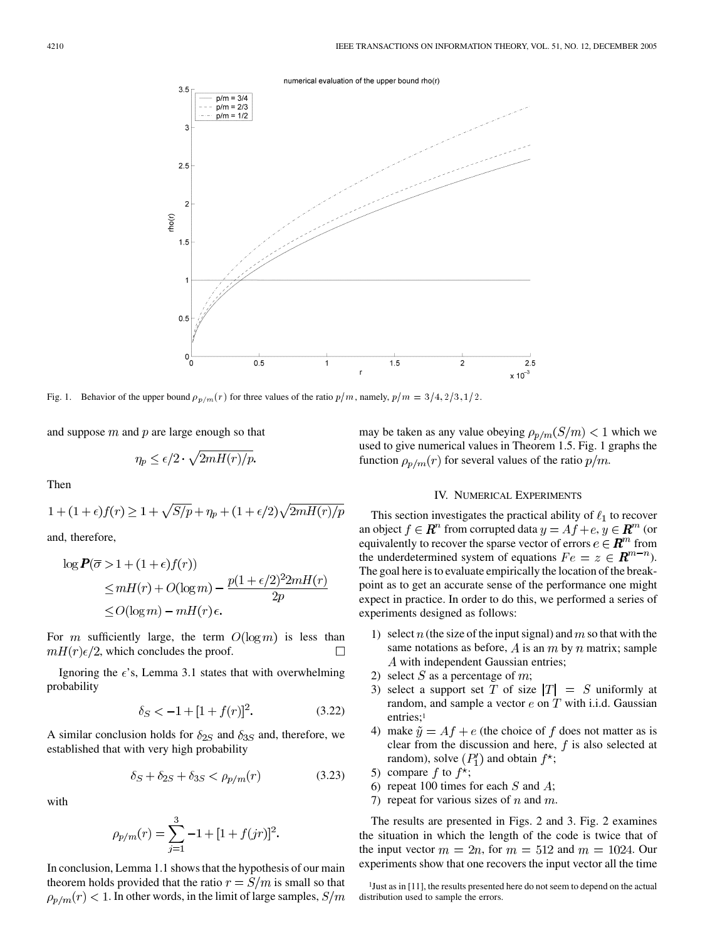

Fig. 1. Behavior of the upper bound  $\rho_{p/m}(r)$  for three values of the ratio  $p/m$ , namely,  $p/m = 3/4$ ,  $2/3$ ,  $1/2$ .

and suppose  $m$  and  $p$  are large enough so that

$$
\eta_p \le \epsilon/2 \cdot \sqrt{2mH(r)/p}
$$

Then

$$
1 + (1 + \epsilon)f(r) \ge 1 + \sqrt{S/p} + \eta_p + (1 + \epsilon/2)\sqrt{2mH(r)/p}
$$

and, therefore,

$$
\log P(\overline{\sigma} > 1 + (1 + \epsilon)f(r))
$$
  
\n
$$
\leq mH(r) + O(\log m) - \frac{p(1 + \epsilon/2)^2 2mH(r)}{2p}
$$
  
\n
$$
\leq O(\log m) - mH(r)\epsilon.
$$

For m sufficiently large, the term  $O(\log m)$  is less than  $mH(r)\epsilon/2$ , which concludes the proof.  $\Box$ 

Ignoring the  $\epsilon$ 's, Lemma 3.1 states that with overwhelming probability

$$
\delta_S < -1 + [1 + f(r)]^2. \tag{3.22}
$$

A similar conclusion holds for  $\delta_{2S}$  and  $\delta_{3S}$  and, therefore, we established that with very high probability

$$
\delta_S + \delta_{2S} + \delta_{3S} < \rho_{p/m}(r) \tag{3.23}
$$

with

$$
\rho_{p/m}(r) = \sum_{j=1}^{3} -1 + [1 + f(jr)]^2
$$

In conclusion, Lemma 1.1 shows that the hypothesis of our main theorem holds provided that the ratio  $r = S/m$  is small so that  $\rho_{p/m}(r)$  < 1. In other words, in the limit of large samples,  $S/m$  may be taken as any value obeying  $\rho_{p/m}(S/m) < 1$  which we used to give numerical values in Theorem 1.5. Fig. 1 graphs the function  $\rho_{p/m}(r)$  for several values of the ratio  $p/m$ .

## IV. NUMERICAL EXPERIMENTS

This section investigates the practical ability of  $\ell_1$  to recover an object  $f \in \mathbb{R}^n$  from corrupted data  $y = Af + e, y \in \mathbb{R}^m$  (or equivalently to recover the sparse vector of errors  $e \in \mathbb{R}^m$  from the underdetermined system of equations  $Fe = z \in \mathbb{R}^{m-n}$ ). The goal here is to evaluate empirically the location of the breakpoint as to get an accurate sense of the performance one might expect in practice. In order to do this, we performed a series of experiments designed as follows:

- 1) select  $n$  (the size of the input signal) and  $m$  so that with the same notations as before, A is an  $m$  by  $n$  matrix; sample A with independent Gaussian entries;
- 2) select S as a percentage of m;
- 3) select a support set T of size  $|T| = S$  uniformly at random, and sample a vector  $e$  on  $T$  with i.i.d. Gaussian entries:<sup>1</sup>
- 4) make  $\tilde{y} = Af + e$  (the choice of f does not matter as is clear from the discussion and here,  $f$  is also selected at random), solve  $(P'_1)$  and obtain  $f^*$ ;
- 5) compare f to  $f^*$ ;
- 6) repeat 100 times for each  $S$  and  $A$ ;
- 7) repeat for various sizes of  $n$  and  $m$ .

The results are presented in Figs. 2 and 3. Fig. 2 examines the situation in which the length of the code is twice that of the input vector  $m = 2n$ , for  $m = 512$  and  $m = 1024$ . Our experiments show that one recovers the input vector all the time

<sup>&</sup>lt;sup>1</sup>Just as in [\[11](#page-12-0)], the results presented here do not seem to depend on the actual distribution used to sample the errors.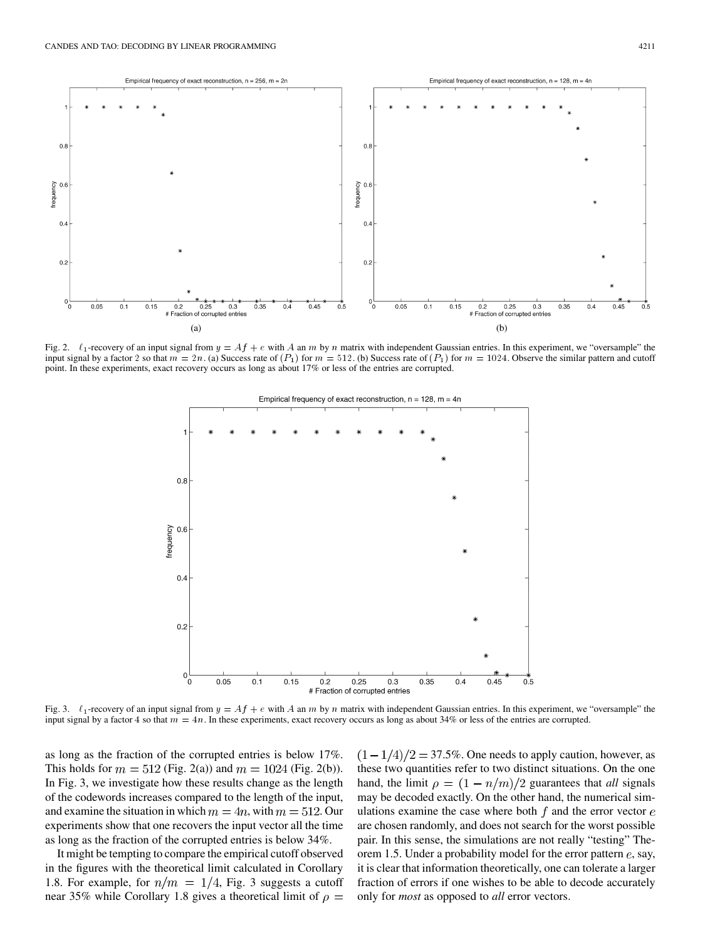

Fig. 2.  $\ell_1$ -recovery of an input signal from  $y = Af + e$  with A an m by n matrix with independent Gaussian entries. In this experiment, we "oversample" the input signal by a factor 2 so that  $m = 2n$ . (a) Success rate of  $(P_1)$  for  $m = 512$ . (b) Success rate of  $(P_1)$  for  $m = 1024$ . Observe the similar pattern and cutoff point. In these experiments, exact recovery occurs as long as about 17% or less of the entries are corrupted.



Fig. 3.  $\ell_1$ -recovery of an input signal from  $y = Af + e$  with A an m by n matrix with independent Gaussian entries. In this experiment, we "oversample" the input signal by a factor 4 so that  $m = 4n$ . In these experiments, exact recovery occurs as long as about 34% or less of the entries are corrupted.

as long as the fraction of the corrupted entries is below 17%. This holds for  $m = 512$  (Fig. 2(a)) and  $m = 1024$  (Fig. 2(b)). In Fig. 3, we investigate how these results change as the length of the codewords increases compared to the length of the input, and examine the situation in which  $m = 4n$ , with  $m = 512$ . Our experiments show that one recovers the input vector all the time as long as the fraction of the corrupted entries is below 34%.

It might be tempting to compare the empirical cutoff observed in the figures with the theoretical limit calculated in Corollary 1.8. For example, for  $n/m = 1/4$ , Fig. 3 suggests a cutoff near 35% while Corollary 1.8 gives a theoretical limit of  $\rho =$ 

 $(1-1/4)/2 = 37.5\%$ . One needs to apply caution, however, as these two quantities refer to two distinct situations. On the one hand, the limit  $\rho = (1 - n/m)/2$  guarantees that *all* signals may be decoded exactly. On the other hand, the numerical simulations examine the case where both  $f$  and the error vector  $e$ are chosen randomly, and does not search for the worst possible pair. In this sense, the simulations are not really "testing" Theorem 1.5. Under a probability model for the error pattern  $e$ , say, it is clear that information theoretically, one can tolerate a larger fraction of errors if one wishes to be able to decode accurately only for *most* as opposed to *all* error vectors.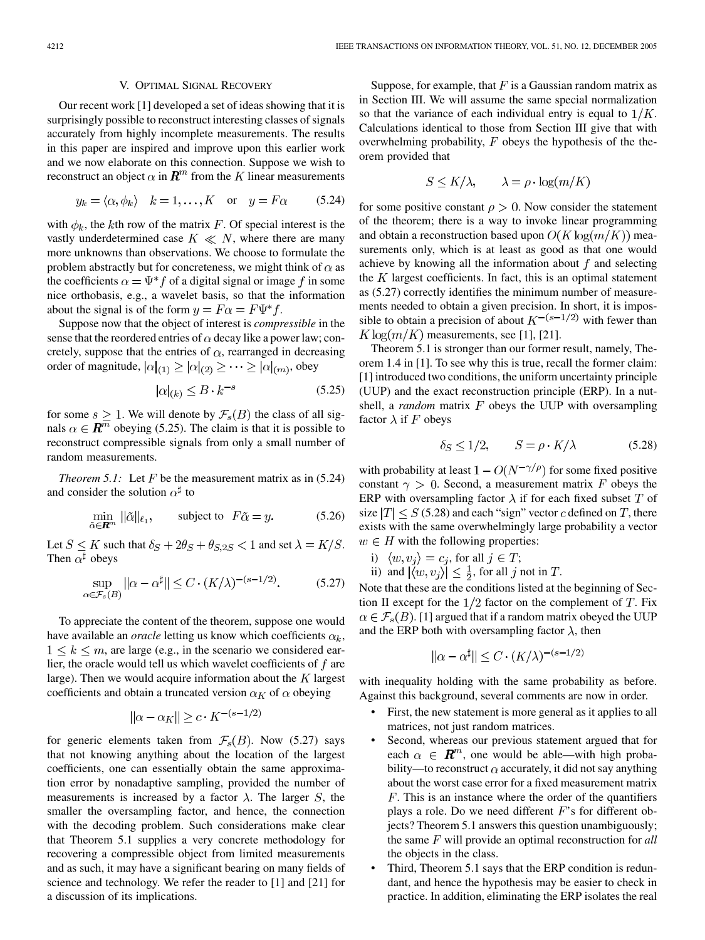### V. OPTIMAL SIGNAL RECOVERY

Our recent work [\[1](#page-11-0)] developed a set of ideas showing that it is surprisingly possible to reconstruct interesting classes of signals accurately from highly incomplete measurements. The results in this paper are inspired and improve upon this earlier work and we now elaborate on this connection. Suppose we wish to reconstruct an object  $\alpha$  in  $\mathbf{R}^m$  from the K linear measurements

$$
y_k = \langle \alpha, \phi_k \rangle \quad k = 1, \dots, K \quad \text{or} \quad y = F\alpha \tag{5.24}
$$

with  $\phi_k$ , the kth row of the matrix F. Of special interest is the vastly underdetermined case  $K \ll N$ , where there are many more unknowns than observations. We choose to formulate the problem abstractly but for concreteness, we might think of  $\alpha$  as the coefficients  $\alpha = \Psi^* f$  of a digital signal or image f in some nice orthobasis, e.g., a wavelet basis, so that the information about the signal is of the form  $y = F\alpha = F\Psi^*f$ .

Suppose now that the object of interest is *compressible* in the sense that the reordered entries of  $\alpha$  decay like a power law; concretely, suppose that the entries of  $\alpha$ , rearranged in decreasing order of magnitude,  $|\alpha|_{(1)} \geq |\alpha|_{(2)} \geq \cdots \geq |\alpha|_{(m)}$ , obey

$$
|\alpha|_{(k)} \le B \cdot k^{-s} \tag{5.25}
$$

for some  $s \geq 1$ . We will denote by  $\mathcal{F}_s(B)$  the class of all signals  $\alpha \in \mathbb{R}^m$  obeying (5.25). The claim is that it is possible to reconstruct compressible signals from only a small number of random measurements.

*Theorem 5.1:* Let  $F$  be the measurement matrix as in (5.24) and consider the solution  $\alpha^{\sharp}$  to

$$
\min_{\tilde{\alpha} \in \mathbf{R}^m} \|\tilde{\alpha}\|_{\ell_1}, \qquad \text{subject to} \quad F\tilde{\alpha} = y. \tag{5.26}
$$

Let  $S \leq K$  such that  $\delta_S + 2\theta_S + \theta_{S,2S} < 1$  and set  $\lambda = K/S$ . Then  $\alpha^{\sharp}$  obeys

$$
\sup_{\alpha \in \mathcal{F}_s(B)} \|\alpha - \alpha^{\sharp}\| \le C \cdot (K/\lambda)^{-(s-1/2)}.
$$
 (5.27)

To appreciate the content of the theorem, suppose one would have available an *oracle* letting us know which coefficients  $\alpha_k$ ,  $1 \leq k \leq m$ , are large (e.g., in the scenario we considered earlier, the oracle would tell us which wavelet coefficients of  $f$  are large). Then we would acquire information about the  $K$  largest coefficients and obtain a truncated version  $\alpha_K$  of  $\alpha$  obeying

$$
\|\alpha - \alpha_K\| \ge c \cdot K^{-(s-1/2)}
$$

for generic elements taken from  $\mathcal{F}_s(B)$ . Now (5.27) says that not knowing anything about the location of the largest coefficients, one can essentially obtain the same approximation error by nonadaptive sampling, provided the number of measurements is increased by a factor  $\lambda$ . The larger S, the smaller the oversampling factor, and hence, the connection with the decoding problem. Such considerations make clear that Theorem 5.1 supplies a very concrete methodology for recovering a compressible object from limited measurements and as such, it may have a significant bearing on many fields of science and technology. We refer the reader to [\[1](#page-11-0)] and [[21\]](#page-12-0) for a discussion of its implications.

Suppose, for example, that  $F$  is a Gaussian random matrix as in Section III. We will assume the same special normalization so that the variance of each individual entry is equal to  $1/K$ . Calculations identical to those from Section III give that with overwhelming probability,  $F$  obeys the hypothesis of the theorem provided that

$$
S \le K/\lambda, \qquad \lambda = \rho \cdot \log(m/K)
$$

for some positive constant  $\rho > 0$ . Now consider the statement of the theorem; there is a way to invoke linear programming and obtain a reconstruction based upon  $O(K \log(m/K))$  measurements only, which is at least as good as that one would achieve by knowing all the information about  $f$  and selecting the  $K$  largest coefficients. In fact, this is an optimal statement as (5.27) correctly identifies the minimum number of measurements needed to obtain a given precision. In short, it is impossible to obtain a precision of about  $K^{-(s-1/2)}$  with fewer than  $K \log(m/K)$  measurements, see [[1\]](#page-11-0), [\[21](#page-12-0)].

Theorem 5.1 is stronger than our former result, namely, Theorem 1.4 in [[1\]](#page-11-0). To see why this is true, recall the former claim: [[1\]](#page-11-0) introduced two conditions, the uniform uncertainty principle (UUP) and the exact reconstruction principle (ERP). In a nutshell, a *random* matrix  $F$  obeys the UUP with oversampling factor  $\lambda$  if F obeys

$$
\delta_S \le 1/2, \qquad S = \rho \cdot K/\lambda \tag{5.28}
$$

with probability at least  $1 - O(N^{-\gamma/\rho})$  for some fixed positive constant  $\gamma > 0$ . Second, a measurement matrix F obeys the ERP with oversampling factor  $\lambda$  if for each fixed subset T of size  $|T| \le S$  (5.28) and each "sign" vector c defined on T, there exists with the same overwhelmingly large probability a vector  $w \in H$  with the following properties:

- i)  $\langle w, v_j \rangle = c_j$ , for all  $j \in T$ ;
- ii) and  $|\langle w, v_i \rangle| \leq \frac{1}{2}$ , for all j not in T.

Note that these are the conditions listed at the beginning of Section II except for the  $1/2$  factor on the complement of  $T$ . Fix  $\alpha \in \mathcal{F}_s(B)$ . [\[1](#page-11-0)] argued that if a random matrix obeyed the UUP and the ERP both with oversampling factor  $\lambda$ , then

$$
\|\alpha - \alpha^{\sharp}\| \le C \cdot (K/\lambda)^{-(s-1/2)}
$$

with inequality holding with the same probability as before. Against this background, several comments are now in order.

- First, the new statement is more general as it applies to all matrices, not just random matrices.
- Second, whereas our previous statement argued that for each  $\alpha \in \mathbb{R}^m$ , one would be able—with high probability—to reconstruct  $\alpha$  accurately, it did not say anything about the worst case error for a fixed measurement matrix  $F$ . This is an instance where the order of the quantifiers plays a role. Do we need different  $F$ 's for different objects? Theorem 5.1 answers this question unambiguously; the same  $F$  will provide an optimal reconstruction for *all* the objects in the class.
- Third, Theorem 5.1 says that the ERP condition is redundant, and hence the hypothesis may be easier to check in practice. In addition, eliminating the ERP isolates the real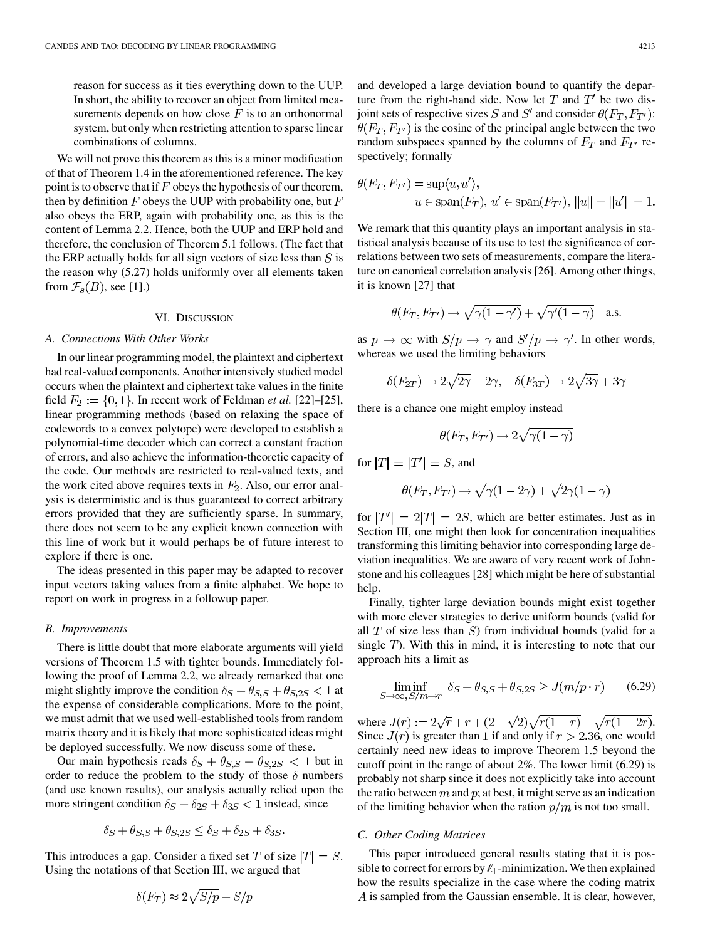reason for success as it ties everything down to the UUP. In short, the ability to recover an object from limited measurements depends on how close  $F$  is to an orthonormal system, but only when restricting attention to sparse linear combinations of columns.

We will not prove this theorem as this is a minor modification of that of Theorem 1.4 in the aforementioned reference. The key point is to observe that if  $F$  obeys the hypothesis of our theorem, then by definition  $F$  obeys the UUP with probability one, but  $F$ also obeys the ERP, again with probability one, as this is the content of Lemma 2.2. Hence, both the UUP and ERP hold and therefore, the conclusion of Theorem 5.1 follows. (The fact that the ERP actually holds for all sign vectors of size less than  $S$  is the reason why (5.27) holds uniformly over all elements taken from  $\mathcal{F}_s(B)$ , see [\[1](#page-11-0)].)

#### VI. DISCUSSION

## *A. Connections With Other Works*

In our linear programming model, the plaintext and ciphertext had real-valued components. Another intensively studied model occurs when the plaintext and ciphertext take values in the finite field  $F_2 := \{0, 1\}$ . In recent work of Feldman *et al.* [[22\]](#page-12-0)–[\[25](#page-12-0)], linear programming methods (based on relaxing the space of codewords to a convex polytope) were developed to establish a polynomial-time decoder which can correct a constant fraction of errors, and also achieve the information-theoretic capacity of the code. Our methods are restricted to real-valued texts, and the work cited above requires texts in  $F_2$ . Also, our error analysis is deterministic and is thus guaranteed to correct arbitrary errors provided that they are sufficiently sparse. In summary, there does not seem to be any explicit known connection with this line of work but it would perhaps be of future interest to explore if there is one.

The ideas presented in this paper may be adapted to recover input vectors taking values from a finite alphabet. We hope to report on work in progress in a followup paper.

#### *B. Improvements*

There is little doubt that more elaborate arguments will yield versions of Theorem 1.5 with tighter bounds. Immediately following the proof of Lemma 2.2, we already remarked that one might slightly improve the condition  $\delta_S + \theta_{S,S} + \theta_{S,2S} < 1$  at the expense of considerable complications. More to the point, we must admit that we used well-established tools from random matrix theory and it is likely that more sophisticated ideas might be deployed successfully. We now discuss some of these.

Our main hypothesis reads  $\delta_S + \theta_{S,S} + \theta_{S,2S} < 1$  but in order to reduce the problem to the study of those  $\delta$  numbers (and use known results), our analysis actually relied upon the more stringent condition  $\delta_S + \delta_{2S} + \delta_{3S} < 1$  instead, since

$$
\delta_S + \theta_{S,S} + \theta_{S,2S} \le \delta_S + \delta_{2S} + \delta_{3S}
$$

This introduces a gap. Consider a fixed set T of size  $|T| = S$ . Using the notations of that Section III, we argued that

$$
\delta(F_T) \approx 2\sqrt{S/p} + S/p
$$

and developed a large deviation bound to quantify the departure from the right-hand side. Now let  $T$  and  $T'$  be two disjoint sets of respective sizes S and S' and consider  $\theta(F_T, F_{T'})$ :  $\theta(F_T, F_{T'})$  is the cosine of the principal angle between the two random subspaces spanned by the columns of  $F_T$  and  $F_{T'}$  respectively; formally

$$
\theta(F_T, F_{T'}) = \sup \langle u, u' \rangle, u \in \text{span}(F_T), u' \in \text{span}(F_{T'}), ||u|| = ||u'|| = 1.
$$

We remark that this quantity plays an important analysis in statistical analysis because of its use to test the significance of correlations between two sets of measurements, compare the literature on canonical correlation analysis [\[26](#page-12-0)]. Among other things, it is known [\[27](#page-12-0)] that

$$
\theta(F_T, F_{T'}) \to \sqrt{\gamma(1-\gamma')} + \sqrt{\gamma'(1-\gamma)} \quad \text{a.s.}
$$

as  $p \to \infty$  with  $S/p \to \gamma$  and  $S'/p \to \gamma'$ . In other words, whereas we used the limiting behaviors

$$
\delta(F_{2T}) \to 2\sqrt{2\gamma} + 2\gamma, \quad \delta(F_{3T}) \to 2\sqrt{3\gamma} + 3\gamma
$$

there is a chance one might employ instead

$$
\theta(F_T, F_{T'}) \to 2\sqrt{\gamma(1-\gamma)}
$$

for  $|T| = |T'| = S$ , and

$$
\theta(F_T, F_{T'}) \to \sqrt{\gamma(1-2\gamma)} + \sqrt{2\gamma(1-\gamma)}
$$

for  $|T'| = 2|T| = 2S$ , which are better estimates. Just as in Section III, one might then look for concentration inequalities transforming this limiting behavior into corresponding large deviation inequalities. We are aware of very recent work of Johnstone and his colleagues [[28\]](#page-12-0) which might be here of substantial help.

Finally, tighter large deviation bounds might exist together with more clever strategies to derive uniform bounds (valid for all  $T$  of size less than  $S$ ) from individual bounds (valid for a single  $T$ ). With this in mind, it is interesting to note that our approach hits a limit as

$$
\liminf_{S \to \infty, S/m \to r} \delta_S + \theta_{S,S} + \theta_{S,2S} \ge J(m/p \cdot r) \tag{6.29}
$$

where  $J(r) := 2\sqrt{r} + r + (2 + \sqrt{2})\sqrt{r(1 - r)} + \sqrt{r(1 - 2r)}$ . Since  $J(r)$  is greater than 1 if and only if  $r > 2.36$ , one would certainly need new ideas to improve Theorem 1.5 beyond the cutoff point in the range of about 2%. The lower limit (6.29) is probably not sharp since it does not explicitly take into account the ratio between  $m$  and  $p$ ; at best, it might serve as an indication of the limiting behavior when the ration  $p/m$  is not too small.

## *C. Other Coding Matrices*

This paper introduced general results stating that it is possible to correct for errors by  $\ell_1$ -minimization. We then explained how the results specialize in the case where the coding matrix  $\Lambda$  is sampled from the Gaussian ensemble. It is clear, however,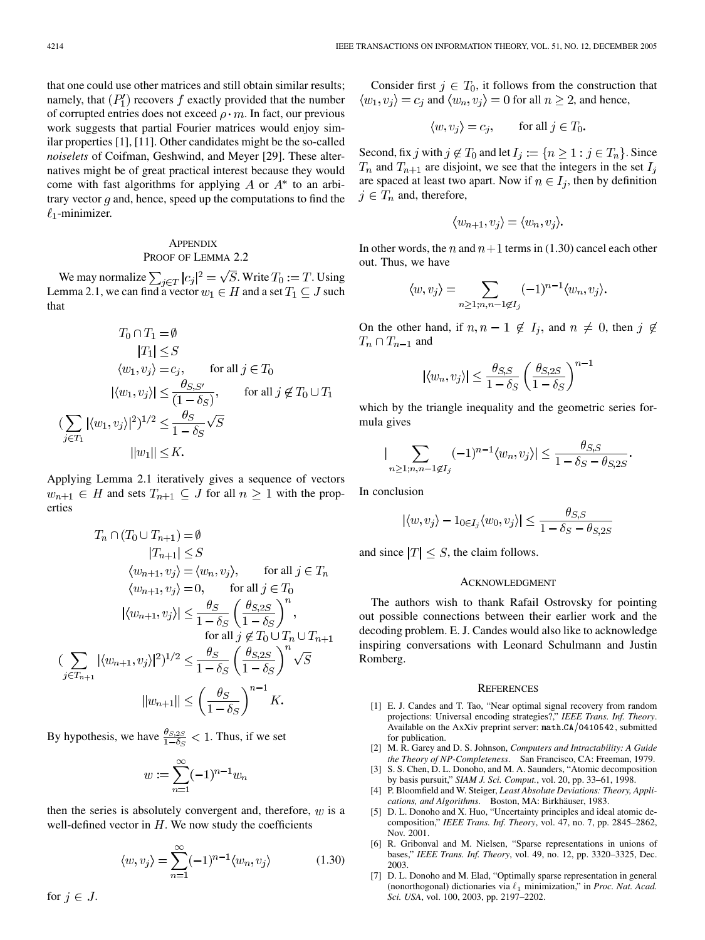<span id="page-11-0"></span>that one could use other matrices and still obtain similar results; namely, that  $(P'_1)$  recovers f exactly provided that the number of corrupted entries does not exceed  $\rho \cdot m$ . In fact, our previous work suggests that partial Fourier matrices would enjoy similar properties [1], [[11\]](#page-12-0). Other candidates might be the so-called *noiselets* of Coifman, Geshwind, and Meyer [\[29](#page-12-0)]. These alternatives might be of great practical interest because they would come with fast algorithms for applying A or  $A^*$  to an arbitrary vector  $q$  and, hence, speed up the computations to find the  $\ell_1$ -minimizer.

## **APPENDIX** PROOF OF LEMMA 2.2

We may normalize  $\sum_{i \in T} |c_i|^2 = \sqrt{S}$ . Write  $T_0 := T$ . Using Lemma 2.1, we can find a vector  $w_1 \in H$  and a set  $T_1 \subseteq J$  such that

$$
T_0 \cap T_1 = \emptyset
$$
  
\n
$$
|T_1| \leq S
$$
  
\n
$$
\langle w_1, v_j \rangle = c_j, \qquad \text{for all } j \in T_0
$$
  
\n
$$
|\langle w_1, v_j \rangle| \leq \frac{\theta_{S,S'}}{(1 - \delta_S)}, \qquad \text{for all } j \notin T_0 \cup T_1
$$
  
\n
$$
(\sum_{j \in T_1} |\langle w_1, v_j \rangle|^2)^{1/2} \leq \frac{\theta_S}{1 - \delta_S} \sqrt{S}
$$
  
\n
$$
||w_1|| \leq K.
$$

Applying Lemma 2.1 iteratively gives a sequence of vectors  $w_{n+1} \in H$  and sets  $T_{n+1} \subseteq J$  for all  $n \geq 1$  with the properties

$$
T_n \cap (T_0 \cup T_{n+1}) = \emptyset
$$
  
\n
$$
|T_{n+1}| \leq S
$$
  
\n
$$
\langle w_{n+1}, v_j \rangle = \langle w_n, v_j \rangle, \quad \text{for all } j \in T_n
$$
  
\n
$$
\langle w_{n+1}, v_j \rangle = 0, \quad \text{for all } j \in T_0
$$
  
\n
$$
|\langle w_{n+1}, v_j \rangle| \leq \frac{\theta_S}{1 - \delta_S} \left(\frac{\theta_{S,2S}}{1 - \delta_S}\right)^n,
$$
  
\nfor all  $j \notin T_0 \cup T_n \cup T_{n+1}$   
\n
$$
\sum_{j \in T_{n+1}} |\langle w_{n+1}, v_j \rangle|^2|^{1/2} \leq \frac{\theta_S}{1 - \delta_S} \left(\frac{\theta_{S,2S}}{1 - \delta_S}\right)^n \sqrt{S}
$$
  
\n
$$
||w_{n+1}|| \leq \left(\frac{\theta_S}{1 - \delta_S}\right)^{n-1} K.
$$

By hypothesis, we have  $\frac{\theta_{S,2S}}{1-\delta_S} < 1$ . Thus, if we set

$$
w := \sum_{n=1}^{\infty} (-1)^{n-1} w_n
$$

then the series is absolutely convergent and, therefore,  $w$  is a well-defined vector in  $H$ . We now study the coefficients

$$
\langle w, v_j \rangle = \sum_{n=1}^{\infty} (-1)^{n-1} \langle w_n, v_j \rangle \tag{1.30}
$$

Consider first  $j \in T_0$ , it follows from the construction that  $\langle w_1, v_1 \rangle = c_i$  and  $\langle w_n, v_i \rangle = 0$  for all  $n \geq 2$ , and hence,

$$
\langle w, v_j \rangle = c_j, \qquad \text{for all } j \in T_0.
$$

Second, fix j with  $j \notin T_0$  and let  $I_j := \{ n \geq 1 : j \in T_n \}$ . Since  $T_n$  and  $T_{n+1}$  are disjoint, we see that the integers in the set  $I_j$ are spaced at least two apart. Now if  $n \in I_j$ , then by definition  $j \in T_n$  and, therefore,

$$
\langle w_{n+1}, v_j \rangle = \langle w_n, v_j \rangle.
$$

In other words, the n and  $n+1$  terms in (1.30) cancel each other out. Thus, we have

$$
\langle w, v_j \rangle = \sum_{n \ge 1; n, n-1 \notin I_j} (-1)^{n-1} \langle w_n, v_j \rangle.
$$

On the other hand, if  $n, n-1 \notin I_j$ , and  $n \neq 0$ , then  $j \notin I_j$  $T_n \cap T_{n-1}$  and

$$
\langle w_n, v_j \rangle \vert \leq \frac{\theta_{S,S}}{1-\delta_S} \left( \frac{\theta_{S,2S}}{1-\delta_S} \right)^{n-1}
$$

which by the triangle inequality and the geometric series formula gives

$$
\left| \sum_{n \ge 1; n, n-1 \notin I_j} (-1)^{n-1} \langle w_n, v_j \rangle \right| \le \frac{\theta_{S, S}}{1 - \delta_S - \theta_{S, 2S}}.
$$

In conclusion

$$
|\langle w, v_j \rangle - 1_{0 \in I_j} \langle w_0, v_j \rangle| \le \frac{\theta_{S,S}}{1 - \delta_S - \theta_{S,2S}}
$$

and since  $|T| \leq S$ , the claim follows.

## ACKNOWLEDGMENT

The authors wish to thank Rafail Ostrovsky for pointing out possible connections between their earlier work and the decoding problem. E. J. Candes would also like to acknowledge inspiring conversations with Leonard Schulmann and Justin Romberg.

#### **REFERENCES**

- [1] E. J. Candes and T. Tao, "Near optimal signal recovery from random projections: Universal encoding strategies?," *IEEE Trans. Inf. Theory*. Available on the AxXiv preprint server: math.CA/0410542, submitted for publication.
- [2] M. R. Garey and D. S. Johnson, *Computers and Intractability: A Guide the Theory of NP-Completeness*. San Francisco, CA: Freeman, 1979.
- [3] S. S. Chen, D. L. Donoho, and M. A. Saunders, "Atomic decomposition by basis pursuit," *SIAM J. Sci. Comput.*, vol. 20, pp. 33–61, 1998.
- [4] P. Bloomfield and W. Steiger, *Least Absolute Deviations: Theory, Applications, and Algorithms*. Boston, MA: Birkhäuser, 1983.
- [5] D. L. Donoho and X. Huo, "Uncertainty principles and ideal atomic decomposition," *IEEE Trans. Inf. Theory*, vol. 47, no. 7, pp. 2845–2862, Nov. 2001.
- [6] R. Gribonval and M. Nielsen, "Sparse representations in unions of bases," *IEEE Trans. Inf. Theory*, vol. 49, no. 12, pp. 3320–3325, Dec. 2003.
- [7] D. L. Donoho and M. Elad, "Optimally sparse representation in general (nonorthogonal) dictionaries via  $\ell_1$  minimization," in *Proc. Nat. Acad. Sci. USA*, vol. 100, 2003, pp. 2197–2202.

for  $j \in J$ .

 $\left($